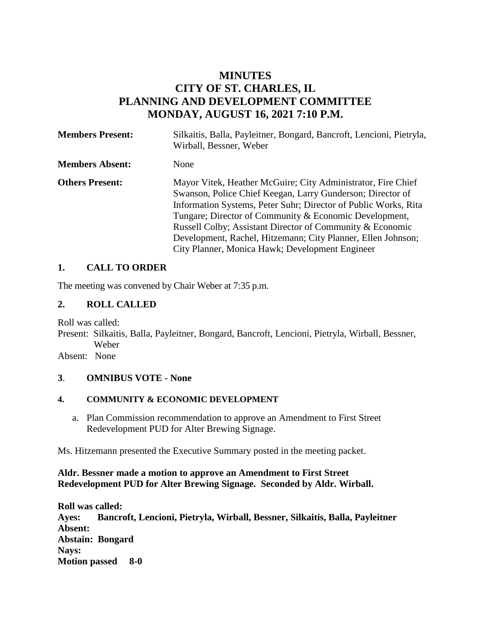# **MINUTES CITY OF ST. CHARLES, IL PLANNING AND DEVELOPMENT COMMITTEE MONDAY, AUGUST 16, 2021 7:10 P.M.**

| <b>Members Present:</b> | Silkaitis, Balla, Payleitner, Bongard, Bancroft, Lencioni, Pietryla,<br>Wirball, Bessner, Weber                                                                                                                                                                                                                                                                                                                                         |
|-------------------------|-----------------------------------------------------------------------------------------------------------------------------------------------------------------------------------------------------------------------------------------------------------------------------------------------------------------------------------------------------------------------------------------------------------------------------------------|
| <b>Members Absent:</b>  | None                                                                                                                                                                                                                                                                                                                                                                                                                                    |
| <b>Others Present:</b>  | Mayor Vitek, Heather McGuire; City Administrator, Fire Chief<br>Swanson, Police Chief Keegan, Larry Gunderson; Director of<br>Information Systems, Peter Suhr; Director of Public Works, Rita<br>Tungare; Director of Community & Economic Development,<br>Russell Colby; Assistant Director of Community & Economic<br>Development, Rachel, Hitzemann; City Planner, Ellen Johnson;<br>City Planner, Monica Hawk; Development Engineer |

## **1. CALL TO ORDER**

The meeting was convened by Chair Weber at 7:35 p.m.

### **2. ROLL CALLED**

Roll was called:

Present: Silkaitis, Balla, Payleitner, Bongard, Bancroft, Lencioni, Pietryla, Wirball, Bessner, Weber

Absent: None

#### **3**. **OMNIBUS VOTE - None**

#### **4. COMMUNITY & ECONOMIC DEVELOPMENT**

a. Plan Commission recommendation to approve an Amendment to First Street Redevelopment PUD for Alter Brewing Signage.

Ms. Hitzemann presented the Executive Summary posted in the meeting packet.

#### **Aldr. Bessner made a motion to approve an Amendment to First Street Redevelopment PUD for Alter Brewing Signage. Seconded by Aldr. Wirball.**

**Roll was called: Ayes: Bancroft, Lencioni, Pietryla, Wirball, Bessner, Silkaitis, Balla, Payleitner Absent: Abstain: Bongard Nays: Motion passed 8-0**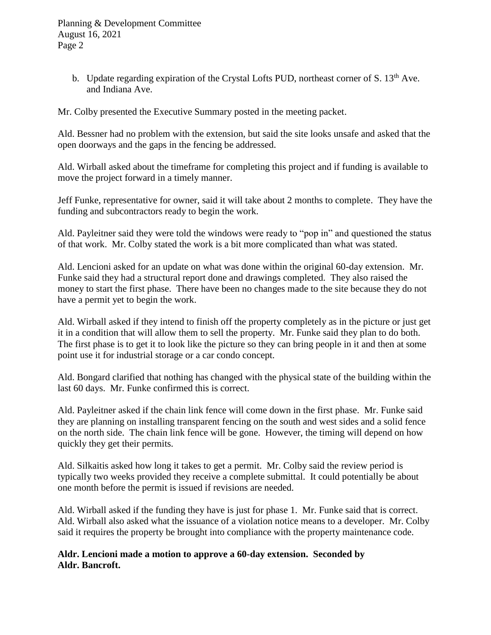b. Update regarding expiration of the Crystal Lofts PUD, northeast corner of S.  $13<sup>th</sup>$  Ave. and Indiana Ave.

Mr. Colby presented the Executive Summary posted in the meeting packet.

Ald. Bessner had no problem with the extension, but said the site looks unsafe and asked that the open doorways and the gaps in the fencing be addressed.

Ald. Wirball asked about the timeframe for completing this project and if funding is available to move the project forward in a timely manner.

Jeff Funke, representative for owner, said it will take about 2 months to complete. They have the funding and subcontractors ready to begin the work.

Ald. Payleitner said they were told the windows were ready to "pop in" and questioned the status of that work. Mr. Colby stated the work is a bit more complicated than what was stated.

Ald. Lencioni asked for an update on what was done within the original 60-day extension. Mr. Funke said they had a structural report done and drawings completed. They also raised the money to start the first phase. There have been no changes made to the site because they do not have a permit yet to begin the work.

Ald. Wirball asked if they intend to finish off the property completely as in the picture or just get it in a condition that will allow them to sell the property. Mr. Funke said they plan to do both. The first phase is to get it to look like the picture so they can bring people in it and then at some point use it for industrial storage or a car condo concept.

Ald. Bongard clarified that nothing has changed with the physical state of the building within the last 60 days. Mr. Funke confirmed this is correct.

Ald. Payleitner asked if the chain link fence will come down in the first phase. Mr. Funke said they are planning on installing transparent fencing on the south and west sides and a solid fence on the north side. The chain link fence will be gone. However, the timing will depend on how quickly they get their permits.

Ald. Silkaitis asked how long it takes to get a permit. Mr. Colby said the review period is typically two weeks provided they receive a complete submittal. It could potentially be about one month before the permit is issued if revisions are needed.

Ald. Wirball asked if the funding they have is just for phase 1. Mr. Funke said that is correct. Ald. Wirball also asked what the issuance of a violation notice means to a developer. Mr. Colby said it requires the property be brought into compliance with the property maintenance code.

## **Aldr. Lencioni made a motion to approve a 60-day extension. Seconded by Aldr. Bancroft.**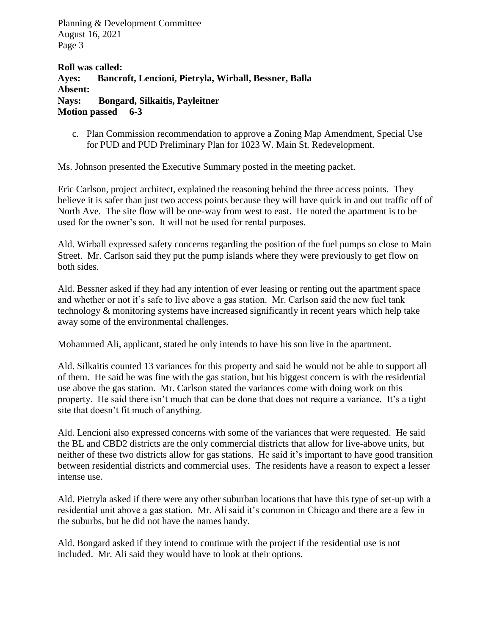**Roll was called: Ayes: Bancroft, Lencioni, Pietryla, Wirball, Bessner, Balla Absent: Nays: Bongard, Silkaitis, Payleitner Motion passed 6-3**

c. Plan Commission recommendation to approve a Zoning Map Amendment, Special Use for PUD and PUD Preliminary Plan for 1023 W. Main St. Redevelopment.

Ms. Johnson presented the Executive Summary posted in the meeting packet.

Eric Carlson, project architect, explained the reasoning behind the three access points. They believe it is safer than just two access points because they will have quick in and out traffic off of North Ave. The site flow will be one-way from west to east. He noted the apartment is to be used for the owner's son. It will not be used for rental purposes.

Ald. Wirball expressed safety concerns regarding the position of the fuel pumps so close to Main Street. Mr. Carlson said they put the pump islands where they were previously to get flow on both sides.

Ald. Bessner asked if they had any intention of ever leasing or renting out the apartment space and whether or not it's safe to live above a gas station. Mr. Carlson said the new fuel tank technology & monitoring systems have increased significantly in recent years which help take away some of the environmental challenges.

Mohammed Ali, applicant, stated he only intends to have his son live in the apartment.

Ald. Silkaitis counted 13 variances for this property and said he would not be able to support all of them. He said he was fine with the gas station, but his biggest concern is with the residential use above the gas station. Mr. Carlson stated the variances come with doing work on this property. He said there isn't much that can be done that does not require a variance. It's a tight site that doesn't fit much of anything.

Ald. Lencioni also expressed concerns with some of the variances that were requested. He said the BL and CBD2 districts are the only commercial districts that allow for live-above units, but neither of these two districts allow for gas stations. He said it's important to have good transition between residential districts and commercial uses. The residents have a reason to expect a lesser intense use.

Ald. Pietryla asked if there were any other suburban locations that have this type of set-up with a residential unit above a gas station. Mr. Ali said it's common in Chicago and there are a few in the suburbs, but he did not have the names handy.

Ald. Bongard asked if they intend to continue with the project if the residential use is not included. Mr. Ali said they would have to look at their options.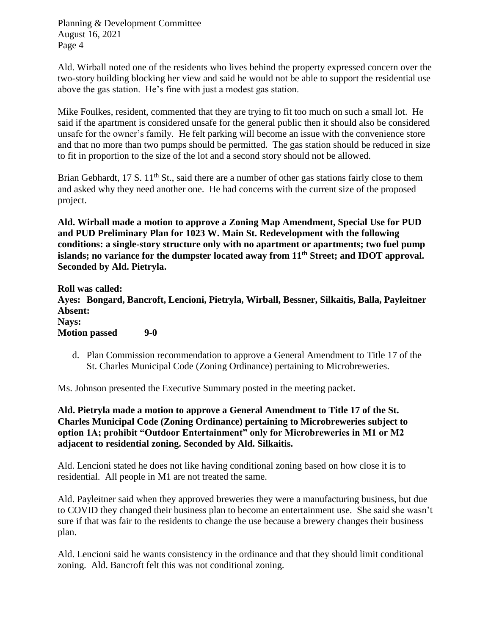Ald. Wirball noted one of the residents who lives behind the property expressed concern over the two-story building blocking her view and said he would not be able to support the residential use above the gas station. He's fine with just a modest gas station.

Mike Foulkes, resident, commented that they are trying to fit too much on such a small lot. He said if the apartment is considered unsafe for the general public then it should also be considered unsafe for the owner's family. He felt parking will become an issue with the convenience store and that no more than two pumps should be permitted. The gas station should be reduced in size to fit in proportion to the size of the lot and a second story should not be allowed.

Brian Gebhardt, 17 S.  $11<sup>th</sup>$  St., said there are a number of other gas stations fairly close to them and asked why they need another one. He had concerns with the current size of the proposed project.

**Ald. Wirball made a motion to approve a Zoning Map Amendment, Special Use for PUD and PUD Preliminary Plan for 1023 W. Main St. Redevelopment with the following conditions: a single-story structure only with no apartment or apartments; two fuel pump islands; no variance for the dumpster located away from 11th Street; and IDOT approval. Seconded by Ald. Pietryla.**

**Roll was called: Ayes: Bongard, Bancroft, Lencioni, Pietryla, Wirball, Bessner, Silkaitis, Balla, Payleitner Absent: Nays: Motion passed 9-0**

d. Plan Commission recommendation to approve a General Amendment to Title 17 of the St. Charles Municipal Code (Zoning Ordinance) pertaining to Microbreweries.

Ms. Johnson presented the Executive Summary posted in the meeting packet.

**Ald. Pietryla made a motion to approve a General Amendment to Title 17 of the St. Charles Municipal Code (Zoning Ordinance) pertaining to Microbreweries subject to option 1A; prohibit "Outdoor Entertainment" only for Microbreweries in M1 or M2 adjacent to residential zoning. Seconded by Ald. Silkaitis.** 

Ald. Lencioni stated he does not like having conditional zoning based on how close it is to residential. All people in M1 are not treated the same.

Ald. Payleitner said when they approved breweries they were a manufacturing business, but due to COVID they changed their business plan to become an entertainment use. She said she wasn't sure if that was fair to the residents to change the use because a brewery changes their business plan.

Ald. Lencioni said he wants consistency in the ordinance and that they should limit conditional zoning. Ald. Bancroft felt this was not conditional zoning.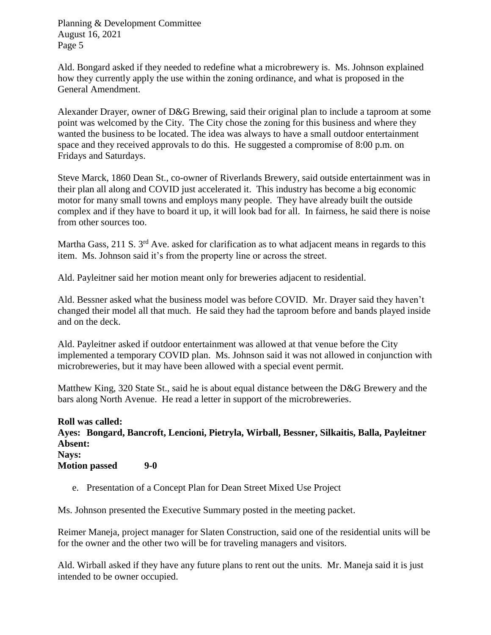Ald. Bongard asked if they needed to redefine what a microbrewery is. Ms. Johnson explained how they currently apply the use within the zoning ordinance, and what is proposed in the General Amendment.

Alexander Drayer, owner of D&G Brewing, said their original plan to include a taproom at some point was welcomed by the City. The City chose the zoning for this business and where they wanted the business to be located. The idea was always to have a small outdoor entertainment space and they received approvals to do this. He suggested a compromise of 8:00 p.m. on Fridays and Saturdays.

Steve Marck, 1860 Dean St., co-owner of Riverlands Brewery, said outside entertainment was in their plan all along and COVID just accelerated it. This industry has become a big economic motor for many small towns and employs many people. They have already built the outside complex and if they have to board it up, it will look bad for all. In fairness, he said there is noise from other sources too.

Martha Gass, 211 S.  $3<sup>rd</sup>$  Ave. asked for clarification as to what adjacent means in regards to this item. Ms. Johnson said it's from the property line or across the street.

Ald. Payleitner said her motion meant only for breweries adjacent to residential.

Ald. Bessner asked what the business model was before COVID. Mr. Drayer said they haven't changed their model all that much. He said they had the taproom before and bands played inside and on the deck.

Ald. Payleitner asked if outdoor entertainment was allowed at that venue before the City implemented a temporary COVID plan. Ms. Johnson said it was not allowed in conjunction with microbreweries, but it may have been allowed with a special event permit.

Matthew King, 320 State St., said he is about equal distance between the D&G Brewery and the bars along North Avenue. He read a letter in support of the microbreweries.

**Roll was called: Ayes: Bongard, Bancroft, Lencioni, Pietryla, Wirball, Bessner, Silkaitis, Balla, Payleitner Absent: Nays: Motion passed 9-0**

e. Presentation of a Concept Plan for Dean Street Mixed Use Project

Ms. Johnson presented the Executive Summary posted in the meeting packet.

Reimer Maneja, project manager for Slaten Construction, said one of the residential units will be for the owner and the other two will be for traveling managers and visitors.

Ald. Wirball asked if they have any future plans to rent out the units. Mr. Maneja said it is just intended to be owner occupied.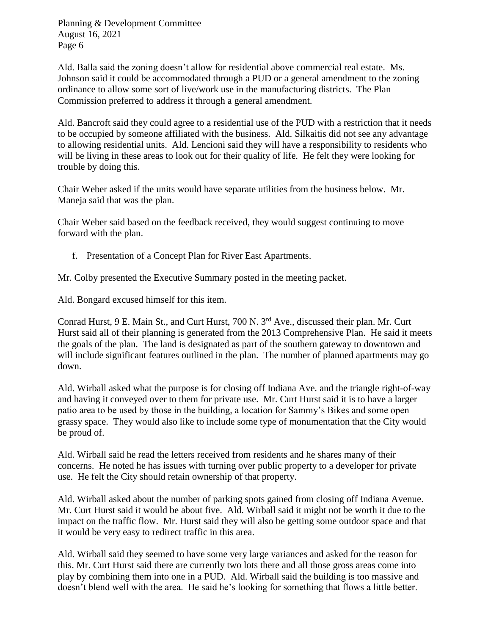Ald. Balla said the zoning doesn't allow for residential above commercial real estate. Ms. Johnson said it could be accommodated through a PUD or a general amendment to the zoning ordinance to allow some sort of live/work use in the manufacturing districts. The Plan Commission preferred to address it through a general amendment.

Ald. Bancroft said they could agree to a residential use of the PUD with a restriction that it needs to be occupied by someone affiliated with the business. Ald. Silkaitis did not see any advantage to allowing residential units. Ald. Lencioni said they will have a responsibility to residents who will be living in these areas to look out for their quality of life. He felt they were looking for trouble by doing this.

Chair Weber asked if the units would have separate utilities from the business below. Mr. Maneja said that was the plan.

Chair Weber said based on the feedback received, they would suggest continuing to move forward with the plan.

f. Presentation of a Concept Plan for River East Apartments.

Mr. Colby presented the Executive Summary posted in the meeting packet.

Ald. Bongard excused himself for this item.

Conrad Hurst, 9 E. Main St., and Curt Hurst, 700 N. 3<sup>rd</sup> Ave., discussed their plan. Mr. Curt Hurst said all of their planning is generated from the 2013 Comprehensive Plan. He said it meets the goals of the plan. The land is designated as part of the southern gateway to downtown and will include significant features outlined in the plan. The number of planned apartments may go down.

Ald. Wirball asked what the purpose is for closing off Indiana Ave. and the triangle right-of-way and having it conveyed over to them for private use. Mr. Curt Hurst said it is to have a larger patio area to be used by those in the building, a location for Sammy's Bikes and some open grassy space. They would also like to include some type of monumentation that the City would be proud of.

Ald. Wirball said he read the letters received from residents and he shares many of their concerns. He noted he has issues with turning over public property to a developer for private use. He felt the City should retain ownership of that property.

Ald. Wirball asked about the number of parking spots gained from closing off Indiana Avenue. Mr. Curt Hurst said it would be about five. Ald. Wirball said it might not be worth it due to the impact on the traffic flow. Mr. Hurst said they will also be getting some outdoor space and that it would be very easy to redirect traffic in this area.

Ald. Wirball said they seemed to have some very large variances and asked for the reason for this. Mr. Curt Hurst said there are currently two lots there and all those gross areas come into play by combining them into one in a PUD. Ald. Wirball said the building is too massive and doesn't blend well with the area. He said he's looking for something that flows a little better.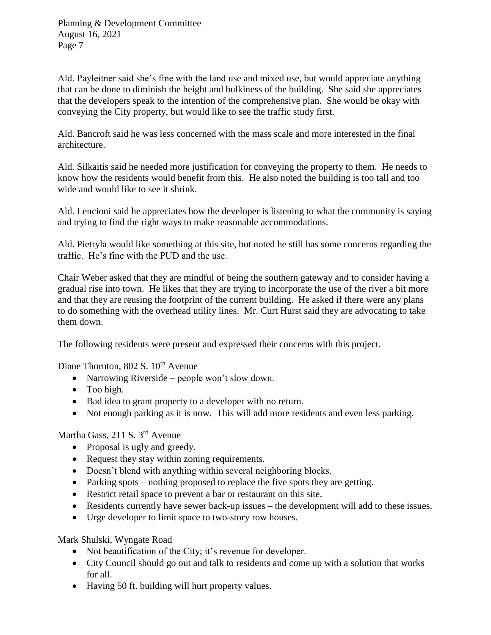Ald. Payleitner said she's fine with the land use and mixed use, but would appreciate anything that can be done to diminish the height and bulkiness of the building. She said she appreciates that the developers speak to the intention of the comprehensive plan. She would be okay with conveying the City property, but would like to see the traffic study first.

Ald. Bancroft said he was less concerned with the mass scale and more interested in the final architecture.

Ald. Silkaitis said he needed more justification for conveying the property to them. He needs to know how the residents would benefit from this. He also noted the building is too tall and too wide and would like to see it shrink.

Ald. Lencioni said he appreciates how the developer is listening to what the community is saying and trying to find the right ways to make reasonable accommodations.

Ald. Pietryla would like something at this site, but noted he still has some concerns regarding the traffic. He's fine with the PUD and the use.

Chair Weber asked that they are mindful of being the southern gateway and to consider having a gradual rise into town. He likes that they are trying to incorporate the use of the river a bit more and that they are reusing the footprint of the current building. He asked if there were any plans to do something with the overhead utility lines. Mr. Curt Hurst said they are advocating to take them down.

The following residents were present and expressed their concerns with this project.

Diane Thornton, 802 S. 10<sup>th</sup> Avenue

- Narrowing Riverside people won't slow down.
- Too high.
- Bad idea to grant property to a developer with no return.
- Not enough parking as it is now. This will add more residents and even less parking.

Martha Gass, 211 S. 3rd Avenue

- Proposal is ugly and greedy.
- Request they stay within zoning requirements.
- Doesn't blend with anything within several neighboring blocks.
- Parking spots nothing proposed to replace the five spots they are getting.
- Restrict retail space to prevent a bar or restaurant on this site.
- Residents currently have sewer back-up issues the development will add to these issues.
- Urge developer to limit space to two-story row houses.

Mark Shulski, Wyngate Road

- Not beautification of the City; it's revenue for developer.
- City Council should go out and talk to residents and come up with a solution that works for all.
- Having 50 ft. building will hurt property values.